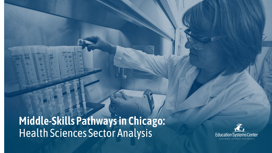**Middle-Skills Pathways in Chicago:**  Health Sciences Sector Analysis

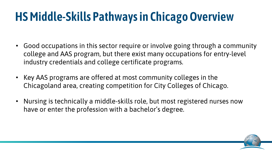## **HS Middle-Skills Pathways in Chicago Overview**

- Good occupations in this sector require or involve going through a community college and AAS program, but there exist many occupations for entry-level industry credentials and college certificate programs.
- Key AAS programs are offered at most community colleges in the Chicagoland area, creating competition for City Colleges of Chicago.
- Nursing is technically a middle-skills role, but most registered nurses now have or enter the profession with a bachelor's degree.

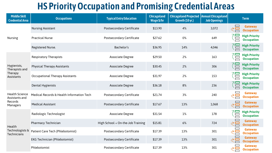## **HS Priority Occupation and Promising Credential Areas**

| <b>Middle Skill</b><br><b>Credential Area</b>                  | <b>Occupations</b>                        | <b>Typical Entry Education</b>    | <b>Chicagoland</b><br>Wage \$/hr | Chicagoland Projected   Annual Chicagoland  <br>Growth (10 yr.) | <b>Job Openings</b> | <b>Term</b>                                                        |
|----------------------------------------------------------------|-------------------------------------------|-----------------------------------|----------------------------------|-----------------------------------------------------------------|---------------------|--------------------------------------------------------------------|
| <b>Nursing</b>                                                 | <b>Nursing Assistant</b>                  | <b>Postsecondary Certificate</b>  | \$13.90                          | 4%                                                              | 3,072               | <b>Gateway</b><br>≷⊟<br><b>Occupation</b>                          |
|                                                                | <b>Practical Nurse</b>                    | <b>Postsecondary Certificate</b>  | \$27.62                          | 0%                                                              | 649                 | <b>High Priority</b><br>Έ<br><b>Occupation</b>                     |
|                                                                | Registered Nurse.                         | Bachelor's                        | \$36.95                          | 14%                                                             | 4,046               | <b>High Priority</b><br>"目<br><b>Occupation</b>                    |
| Hygienists,<br>Therapists and<br>Therapy<br>Assistants         | <b>Respiratory Therapists</b>             | <b>Associate Degree</b>           | \$29.50                          | 2%                                                              | 163                 | <b>High Priority</b><br><b>Occupation</b>                          |
|                                                                | <b>Physical Therapy Assistants</b>        | Associate Degree                  | \$30.45                          | 2%                                                              | 306                 | <b>High Priority</b><br>$\Box$<br><b>Occupation</b>                |
|                                                                | <b>Occupational Therapy Assistants</b>    | <b>Associate Degree</b>           | \$31.97                          | 2%                                                              | 153                 | <b>High Priority</b><br>Ē<br><b>Occupation</b>                     |
|                                                                | <b>Dental Hygienists</b>                  | Associate Degree                  | \$36.18                          | 8%                                                              | 236                 | $^{1\!}\Xi$<br><b>High Priority</b><br><b>Occupation</b><br>$\Box$ |
| <b>Health Science</b><br>Assistants and<br>Records<br>Managers | Medical Records & Health Information Tech | <b>Postsecondary Certificate</b>  | \$21.74                          | 3%                                                              | 240                 | <b>Gateway</b><br><b>Occupation</b>                                |
|                                                                | <b>Medical Assistant</b>                  | <b>Postsecondary Certificate</b>  | \$17.67                          | 13%                                                             | 1,068               | <b>Gateway</b><br><b>Occupation</b>                                |
| Health<br>Technologists &<br>Technicians                       | Radiologic Technologist                   | Associate Degree                  | \$31.54                          | 1%                                                              | 178                 | <b>High Priority</b><br>$=$<br><b>Occupation</b>                   |
|                                                                | <b>Pharmacy Technician</b>                | High School + On-the-Job Training | \$15.81                          | 6%                                                              | 724                 | <b>Gateway</b><br><b>Occupation</b>                                |
|                                                                | Patient Care Tech (Phlebotomist)          | <b>Postsecondary Certificate</b>  | \$17.39                          | 13%                                                             | 301                 | <b>Gateway</b><br><b>Occupation</b>                                |
|                                                                | <b>EKG Technician (Phlebotomist)</b>      | <b>Postsecondary Certificate</b>  | \$17.39                          | 13%                                                             | 301                 | $\equiv$<br><b>Gateway</b><br><b>Occupation</b>                    |
|                                                                | Phlebotomist                              | <b>Postsecondary Certificate</b>  | \$17.39                          | 13%                                                             | 301                 | <b>Gateway</b><br><b>Occupation</b>                                |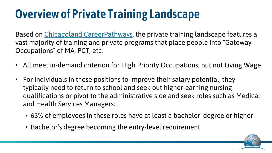## **Overview of Private Training Landscape**

Based on [Chicagoland CareerPathways,](https://www.careerpathways.net/) the private training landscape features a vast majority of training and private programs that place people into "Gateway Occupations" of MA, PCT, etc.

- All meet in-demand criterion for High Priority Occupations, but not Living Wage
- For individuals in these positions to improve their salary potential, they typically need to return to school and seek out higher-earning nursing qualifications or pivot to the administrative side and seek roles such as Medical and Health Services Managers:
	- 63% of employees in these roles have at least a bachelor' degree or higher
	- Bachelor's degree becoming the entry-level requirement

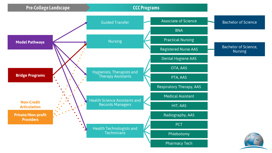